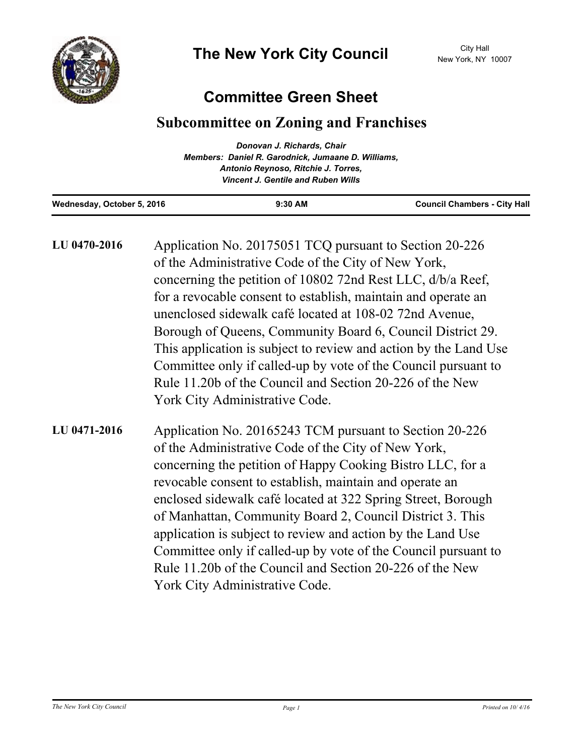## **Committee Green Sheet**

## **Subcommittee on Zoning and Franchises**

|                            | Donovan J. Richards, Chair                         |                                     |
|----------------------------|----------------------------------------------------|-------------------------------------|
|                            | Members: Daniel R. Garodnick, Jumaane D. Williams, |                                     |
|                            | Antonio Reynoso, Ritchie J. Torres,                |                                     |
|                            | <b>Vincent J. Gentile and Ruben Wills</b>          |                                     |
| Wednesday, October 5, 2016 | $9:30$ AM                                          | <b>Council Chambers - City Hall</b> |

Application No. 20175051 TCQ pursuant to Section 20-226 of the Administrative Code of the City of New York, concerning the petition of 10802 72nd Rest LLC, d/b/a Reef, for a revocable consent to establish, maintain and operate an unenclosed sidewalk café located at 108-02 72nd Avenue, Borough of Queens, Community Board 6, Council District 29. This application is subject to review and action by the Land Use Committee only if called-up by vote of the Council pursuant to Rule 11.20b of the Council and Section 20-226 of the New York City Administrative Code. **LU 0470-2016** Application No. 20165243 TCM pursuant to Section 20-226 **LU 0471-2016**

of the Administrative Code of the City of New York, concerning the petition of Happy Cooking Bistro LLC, for a revocable consent to establish, maintain and operate an enclosed sidewalk café located at 322 Spring Street, Borough of Manhattan, Community Board 2, Council District 3. This application is subject to review and action by the Land Use Committee only if called-up by vote of the Council pursuant to Rule 11.20b of the Council and Section 20-226 of the New York City Administrative Code.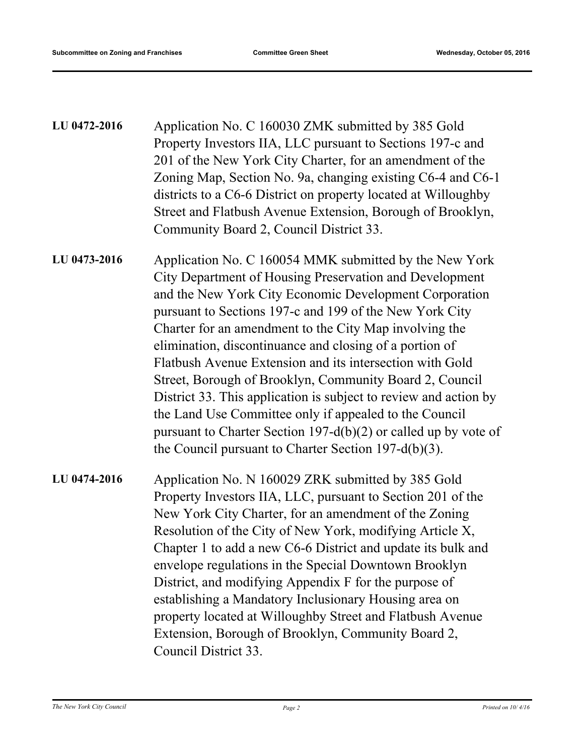| LU 0472-2016 | Application No. C 160030 ZMK submitted by 385 Gold<br>Property Investors IIA, LLC pursuant to Sections 197-c and<br>201 of the New York City Charter, for an amendment of the<br>Zoning Map, Section No. 9a, changing existing C6-4 and C6-1<br>districts to a C6-6 District on property located at Willoughby<br>Street and Flatbush Avenue Extension, Borough of Brooklyn,<br>Community Board 2, Council District 33.                                                                                                                                                                                                                                                                                                                     |
|--------------|---------------------------------------------------------------------------------------------------------------------------------------------------------------------------------------------------------------------------------------------------------------------------------------------------------------------------------------------------------------------------------------------------------------------------------------------------------------------------------------------------------------------------------------------------------------------------------------------------------------------------------------------------------------------------------------------------------------------------------------------|
| LU 0473-2016 | Application No. C 160054 MMK submitted by the New York<br>City Department of Housing Preservation and Development<br>and the New York City Economic Development Corporation<br>pursuant to Sections 197-c and 199 of the New York City<br>Charter for an amendment to the City Map involving the<br>elimination, discontinuance and closing of a portion of<br>Flatbush Avenue Extension and its intersection with Gold<br>Street, Borough of Brooklyn, Community Board 2, Council<br>District 33. This application is subject to review and action by<br>the Land Use Committee only if appealed to the Council<br>pursuant to Charter Section 197-d(b)(2) or called up by vote of<br>the Council pursuant to Charter Section 197-d(b)(3). |
| LU 0474-2016 | Application No. N 160029 ZRK submitted by 385 Gold<br>Property Investors IIA, LLC, pursuant to Section 201 of the<br>New York City Charter, for an amendment of the Zoning<br>Resolution of the City of New York, modifying Article X,<br>Chapter 1 to add a new C6-6 District and update its bulk and<br>envelope regulations in the Special Downtown Brooklyn<br>District, and modifying Appendix F for the purpose of<br>establishing a Mandatory Inclusionary Housing area on<br>property located at Willoughby Street and Flatbush Avenue                                                                                                                                                                                              |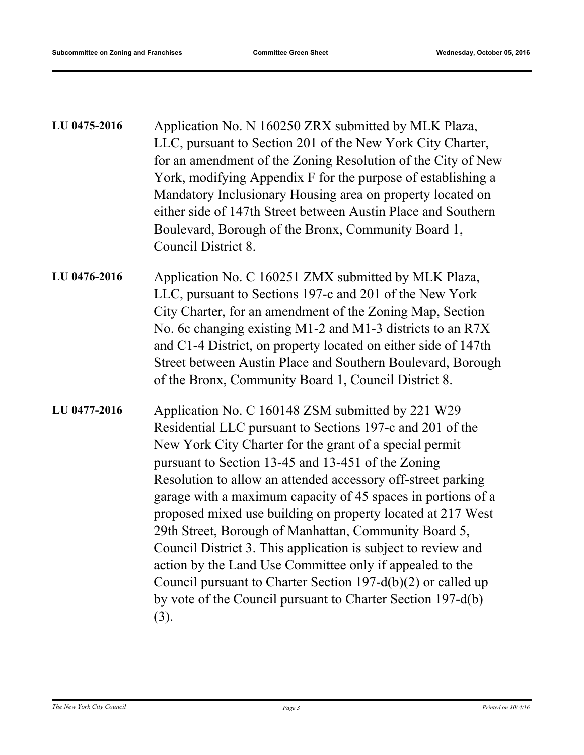| LU 0475-2016 | Application No. N 160250 ZRX submitted by MLK Plaza,<br>LLC, pursuant to Section 201 of the New York City Charter,<br>for an amendment of the Zoning Resolution of the City of New<br>York, modifying Appendix F for the purpose of establishing a<br>Mandatory Inclusionary Housing area on property located on<br>either side of 147th Street between Austin Place and Southern<br>Boulevard, Borough of the Bronx, Community Board 1,<br>Council District 8.                                                                                                                                                                                                                                                                                                |
|--------------|----------------------------------------------------------------------------------------------------------------------------------------------------------------------------------------------------------------------------------------------------------------------------------------------------------------------------------------------------------------------------------------------------------------------------------------------------------------------------------------------------------------------------------------------------------------------------------------------------------------------------------------------------------------------------------------------------------------------------------------------------------------|
| LU 0476-2016 | Application No. C 160251 ZMX submitted by MLK Plaza,<br>LLC, pursuant to Sections 197-c and 201 of the New York<br>City Charter, for an amendment of the Zoning Map, Section<br>No. 6c changing existing M1-2 and M1-3 districts to an R7X<br>and C1-4 District, on property located on either side of 147th<br>Street between Austin Place and Southern Boulevard, Borough<br>of the Bronx, Community Board 1, Council District 8.                                                                                                                                                                                                                                                                                                                            |
| LU 0477-2016 | Application No. C 160148 ZSM submitted by 221 W29<br>Residential LLC pursuant to Sections 197-c and 201 of the<br>New York City Charter for the grant of a special permit<br>pursuant to Section 13-45 and 13-451 of the Zoning<br>Resolution to allow an attended accessory off-street parking<br>garage with a maximum capacity of 45 spaces in portions of a<br>proposed mixed use building on property located at 217 West<br>29th Street, Borough of Manhattan, Community Board 5,<br>Council District 3. This application is subject to review and<br>action by the Land Use Committee only if appealed to the<br>Council pursuant to Charter Section 197- $d(b)(2)$ or called up<br>by vote of the Council pursuant to Charter Section 197-d(b)<br>(3). |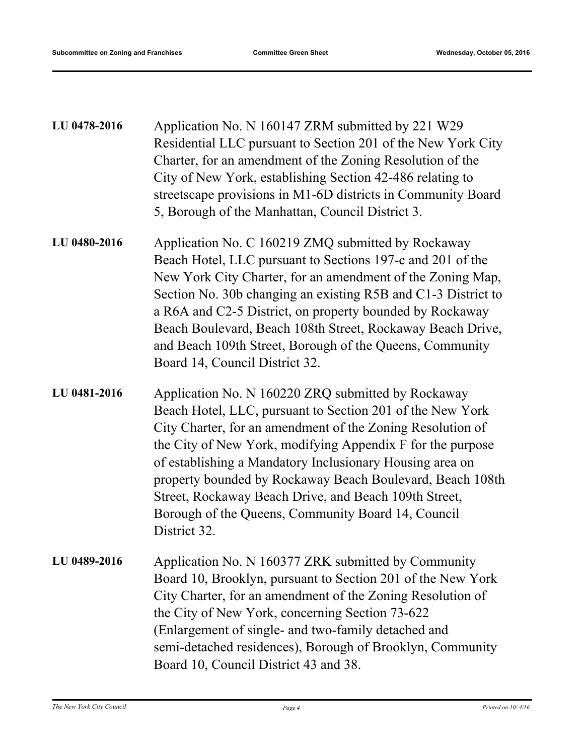| LU 0478-2016 | Application No. N 160147 ZRM submitted by 221 W29<br>Residential LLC pursuant to Section 201 of the New York City<br>Charter, for an amendment of the Zoning Resolution of the<br>City of New York, establishing Section 42-486 relating to<br>streetscape provisions in M1-6D districts in Community Board<br>5, Borough of the Manhattan, Council District 3.                                                                                                                                     |
|--------------|-----------------------------------------------------------------------------------------------------------------------------------------------------------------------------------------------------------------------------------------------------------------------------------------------------------------------------------------------------------------------------------------------------------------------------------------------------------------------------------------------------|
| LU 0480-2016 | Application No. C 160219 ZMQ submitted by Rockaway<br>Beach Hotel, LLC pursuant to Sections 197-c and 201 of the<br>New York City Charter, for an amendment of the Zoning Map,<br>Section No. 30b changing an existing R5B and C1-3 District to<br>a R6A and C2-5 District, on property bounded by Rockaway<br>Beach Boulevard, Beach 108th Street, Rockaway Beach Drive,<br>and Beach 109th Street, Borough of the Queens, Community<br>Board 14, Council District 32.                             |
| LU 0481-2016 | Application No. N 160220 ZRQ submitted by Rockaway<br>Beach Hotel, LLC, pursuant to Section 201 of the New York<br>City Charter, for an amendment of the Zoning Resolution of<br>the City of New York, modifying Appendix F for the purpose<br>of establishing a Mandatory Inclusionary Housing area on<br>property bounded by Rockaway Beach Boulevard, Beach 108th<br>Street, Rockaway Beach Drive, and Beach 109th Street,<br>Borough of the Queens, Community Board 14, Council<br>District 32. |
| LU 0489-2016 | Application No. N 160377 ZRK submitted by Community<br>Board 10, Brooklyn, pursuant to Section 201 of the New York<br>City Charter, for an amendment of the Zoning Resolution of<br>the City of New York, concerning Section 73-622<br>(Enlargement of single- and two-family detached and<br>semi-detached residences), Borough of Brooklyn, Community<br>Board 10, Council District 43 and 38.                                                                                                    |